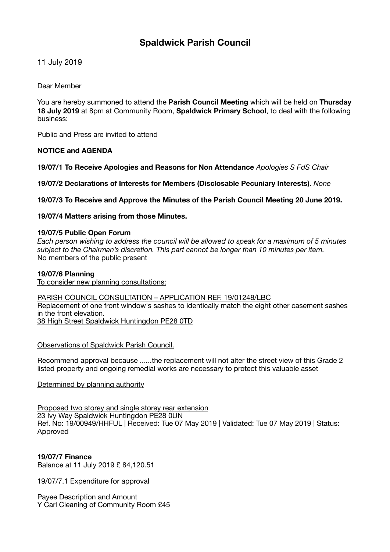# **Spaldwick Parish Council**

11 July 2019

Dear Member

You are hereby summoned to attend the **Parish Council Meeting** which will be held on **Thursday 18 July 2019** at 8pm at Community Room, **Spaldwick Primary School**, to deal with the following business:

Public and Press are invited to attend

## **NOTICE and AGENDA**

**19/07/1 To Receive Apologies and Reasons for Non Attendance** *Apologies S FdS Chair*

**19/07/2 Declarations of Interests for Members (Disclosable Pecuniary Interests).** *None*

**19/07/3 To Receive and Approve the Minutes of the Parish Council Meeting 20 June 2019.** 

**19/07/4 Matters arising from those Minutes.** 

#### **19/07/5 Public Open Forum**

*Each person wishing to address the council will be allowed to speak for a maximum of 5 minutes subject to the Chairman's discretion. This part cannot be longer than 10 minutes per item.* No members of the public present

## **19/07/6 Planning**

To consider new planning consultations:

PARISH COUNCIL CONSULTATION – APPLICATION REF. 19/01248/LBC Replacement of one front window's sashes to identically match the eight other casement sashes in the front elevation. 38 High Street Spaldwick Huntingdon PE28 0TD

Observations of Spaldwick Parish Council.

Recommend approval because ......the replacement will not alter the street view of this Grade 2 listed property and ongoing remedial works are necessary to protect this valuable asset

Determined by planning authority

[Proposed two storey and single storey rear extension](https://publicaccess.huntingdonshire.gov.uk/online-applications/applicationDetails.do?keyVal=PR8COGIK0FS00&activeTab=summary) 23 Ivy Way Spaldwick Huntingdon PE28 0UN Ref. No: 19/00949/HHFUL | Received: Tue 07 May 2019 | Validated: Tue 07 May 2019 | Status: Approved

**19/07/7 Finance**  Balance at 11 July 2019 £ 84,120.51

19/07/7.1 Expenditure for approval

Payee Description and Amount Y Carl Cleaning of Community Room £45